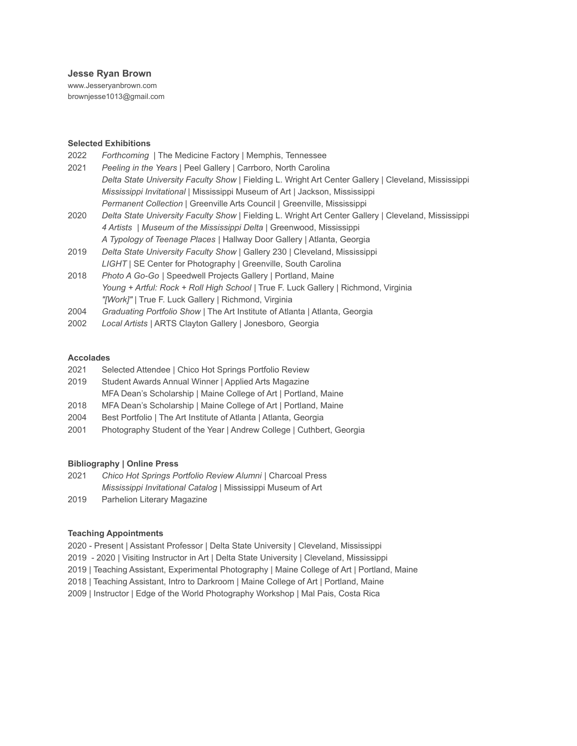### **Jesse Ryan Brown**

www.Jesseryanbrown.com brownjesse1013@gmail.com

#### **Selected Exhibitions**

| 2022 | Forthcoming   The Medicine Factory   Memphis, Tennessee                                              |
|------|------------------------------------------------------------------------------------------------------|
| 2021 | Peeling in the Years   Peel Gallery   Carrboro, North Carolina                                       |
|      | Delta State University Faculty Show   Fielding L. Wright Art Center Gallery   Cleveland, Mississippi |
|      | Mississippi Invitational   Mississippi Museum of Art   Jackson, Mississippi                          |
|      | Permanent Collection   Greenville Arts Council   Greenville, Mississippi                             |
| 2020 | Delta State University Faculty Show   Fielding L. Wright Art Center Gallery   Cleveland, Mississippi |
|      | 4 Artists   Museum of the Mississippi Delta   Greenwood, Mississippi                                 |
|      | A Typology of Teenage Places   Hallway Door Gallery   Atlanta, Georgia                               |
| 2019 | Delta State University Faculty Show   Gallery 230   Cleveland, Mississippi                           |
|      | LIGHT   SE Center for Photography   Greenville, South Carolina                                       |
| 2018 | Photo A Go-Go   Speedwell Projects Gallery   Portland, Maine                                         |
|      | Young + Artful: Rock + Roll High School   True F. Luck Gallery   Richmond, Virginia                  |

- *"[Work]"* | True F. Luck Gallery | Richmond, Virginia 2004 *Graduating Portfolio Show* | The Art Institute of Atlanta | Atlanta, Georgia
- 2002 *Local Artists* | ARTS Clayton Gallery | Jonesboro, Georgia

#### **Accolades**

- 2021 Selected Attendee | Chico Hot Springs Portfolio Review
- 2019 Student Awards Annual Winner | Applied Arts Magazine
- MFA Dean's Scholarship | Maine College of Art | Portland, Maine
- 2018 MFA Dean's Scholarship | Maine College of Art | Portland, Maine
- 2004 Best Portfolio | The Art Institute of Atlanta | Atlanta, Georgia
- 2001 Photography Student of the Year | Andrew College | Cuthbert, Georgia

# **Bibliography | Online Press**

- 2021 *Chico Hot Springs Portfolio Review Alumni* | Charcoal Press *Mississippi Invitational Catalog* | Mississippi Museum of Art
- 2019 Parhelion Literary Magazine

# **Teaching Appointments**

- 2020 Present | Assistant Professor | Delta State University | Cleveland, Mississippi
- 2019 2020 | Visiting Instructor in Art | Delta State University | Cleveland, Mississippi
- 2019 | Teaching Assistant, Experimental Photography | Maine College of Art | Portland, Maine
- 2018 | Teaching Assistant, Intro to Darkroom | Maine College of Art | Portland, Maine
- 2009 | Instructor | Edge of the World Photography Workshop | Mal Pais, Costa Rica